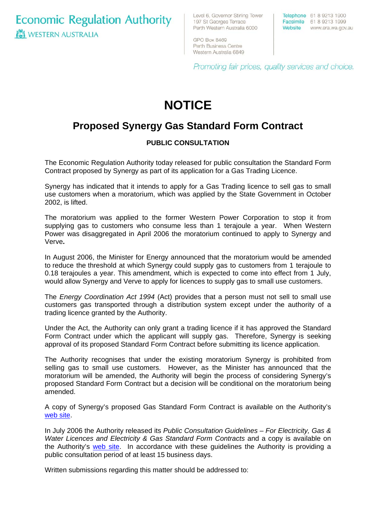**Economic Regulation Authority WESTERN AUSTRALIA** 

Level 6, Governor Stirling Tower 197 St Georges Terrace Perth Western Australia 6000

Telephone 61 8 9213 1900 Facsimile 61 8 9213 1999 Website www.era.wa.gov.au

GPO Box 8469 Perth Business Centre Western Australia 6849

Promoting fair prices, quality services and choice.

# **NOTICE**

## **Proposed Synergy Gas Standard Form Contract**

### **PUBLIC CONSULTATION**

The Economic Regulation Authority today released for public consultation the Standard Form Contract proposed by Synergy as part of its application for a Gas Trading Licence.

Synergy has indicated that it intends to apply for a Gas Trading licence to sell gas to small use customers when a moratorium, which was applied by the State Government in October 2002, is lifted.

The moratorium was applied to the former Western Power Corporation to stop it from supplying gas to customers who consume less than 1 terajoule a year. When Western Power was disaggregated in April 2006 the moratorium continued to apply to Synergy and Verve**.**

In August 2006, the Minister for Energy announced that the moratorium would be amended to reduce the threshold at which Synergy could supply gas to customers from 1 terajoule to 0.18 terajoules a year. This amendment, which is expected to come into effect from 1 July, would allow Synergy and Verve to apply for licences to supply gas to small use customers.

The *Energy Coordination Act 1994* (Act) provides that a person must not sell to small use customers gas transported through a distribution system except under the authority of a trading licence granted by the Authority.

Under the Act, the Authority can only grant a trading licence if it has approved the Standard Form Contract under which the applicant will supply gas. Therefore, Synergy is seeking approval of its proposed Standard Form Contract before submitting its licence application.

The Authority recognises that under the existing moratorium Synergy is prohibited from selling gas to small use customers. However, as the Minister has announced that the moratorium will be amended, the Authority will begin the process of considering Synergy's proposed Standard Form Contract but a decision will be conditional on the moratorium being amended.

A copy of Synergy's proposed Gas Standard Form Contract is available on the Authority's [web site](http://www.era.wa.gov.au/library/20070309SynergyProposedGasSFC.pdf).

In July 2006 the Authority released its *Public Consultation Guidelines – For Electricity, Gas & Water Licences and Electricity & Gas Standard Form Contracts* and a copy is available on the Authority's [web site](http://www.era.wa.gov.au/library/Public%20Consultation%20Guidelines%20for%20Electricity,%20Gas%20and%20Water%20Licences%20and%20Electricity%20and%20Gas%20Standard%20Form%20Contracts%20July%202006%20new.pdf). In accordance with these guidelines the Authority is providing a public consultation period of at least 15 business days.

Written submissions regarding this matter should be addressed to: